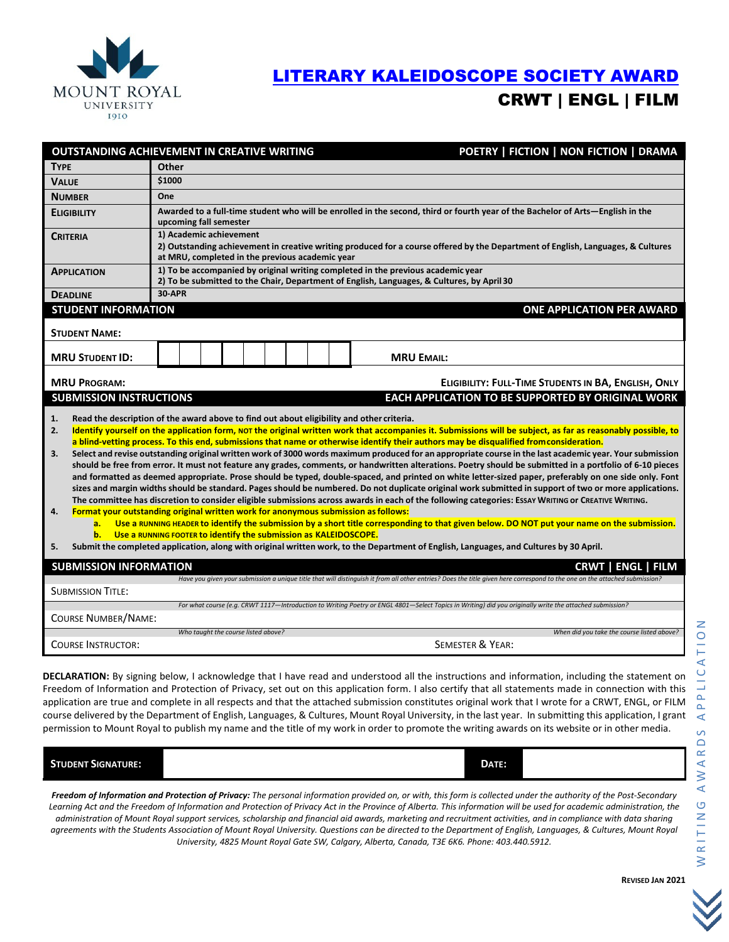

## [LITERARY KALEIDOSCOPE SOCIETY](https://mtroyal.academicworks.ca/opportunities/6250) AWARD CRWT | ENGL | FILM

|                                                                                                                                                                                                                                                                                                                                                                                                                                                                                                                                                                                                                                                                                                                                                                                                                                                                                                                                                                                                                                                                                                                                                                                                                                                                                                                                                                                                                                                                                                                                                                                                                                                                                                        | OUTSTANDING ACHIEVEMENT IN CREATIVE WRITING<br>POETRY   FICTION   NON FICTION   DRAMA                                                                                                                          |  |  |
|--------------------------------------------------------------------------------------------------------------------------------------------------------------------------------------------------------------------------------------------------------------------------------------------------------------------------------------------------------------------------------------------------------------------------------------------------------------------------------------------------------------------------------------------------------------------------------------------------------------------------------------------------------------------------------------------------------------------------------------------------------------------------------------------------------------------------------------------------------------------------------------------------------------------------------------------------------------------------------------------------------------------------------------------------------------------------------------------------------------------------------------------------------------------------------------------------------------------------------------------------------------------------------------------------------------------------------------------------------------------------------------------------------------------------------------------------------------------------------------------------------------------------------------------------------------------------------------------------------------------------------------------------------------------------------------------------------|----------------------------------------------------------------------------------------------------------------------------------------------------------------------------------------------------------------|--|--|
| <b>TYPE</b>                                                                                                                                                                                                                                                                                                                                                                                                                                                                                                                                                                                                                                                                                                                                                                                                                                                                                                                                                                                                                                                                                                                                                                                                                                                                                                                                                                                                                                                                                                                                                                                                                                                                                            | Other                                                                                                                                                                                                          |  |  |
| <b>VALUE</b>                                                                                                                                                                                                                                                                                                                                                                                                                                                                                                                                                                                                                                                                                                                                                                                                                                                                                                                                                                                                                                                                                                                                                                                                                                                                                                                                                                                                                                                                                                                                                                                                                                                                                           | \$1000                                                                                                                                                                                                         |  |  |
| <b>NUMBER</b>                                                                                                                                                                                                                                                                                                                                                                                                                                                                                                                                                                                                                                                                                                                                                                                                                                                                                                                                                                                                                                                                                                                                                                                                                                                                                                                                                                                                                                                                                                                                                                                                                                                                                          | One                                                                                                                                                                                                            |  |  |
| <b>ELIGIBILITY</b>                                                                                                                                                                                                                                                                                                                                                                                                                                                                                                                                                                                                                                                                                                                                                                                                                                                                                                                                                                                                                                                                                                                                                                                                                                                                                                                                                                                                                                                                                                                                                                                                                                                                                     | Awarded to a full-time student who will be enrolled in the second, third or fourth year of the Bachelor of Arts-English in the<br>upcoming fall semester                                                       |  |  |
| <b>CRITERIA</b>                                                                                                                                                                                                                                                                                                                                                                                                                                                                                                                                                                                                                                                                                                                                                                                                                                                                                                                                                                                                                                                                                                                                                                                                                                                                                                                                                                                                                                                                                                                                                                                                                                                                                        | 1) Academic achievement<br>2) Outstanding achievement in creative writing produced for a course offered by the Department of English, Languages, & Cultures<br>at MRU, completed in the previous academic year |  |  |
| <b>APPLICATION</b>                                                                                                                                                                                                                                                                                                                                                                                                                                                                                                                                                                                                                                                                                                                                                                                                                                                                                                                                                                                                                                                                                                                                                                                                                                                                                                                                                                                                                                                                                                                                                                                                                                                                                     | 1) To be accompanied by original writing completed in the previous academic year<br>2) To be submitted to the Chair, Department of English, Languages, & Cultures, by April 30                                 |  |  |
| <b>DEADLINE</b>                                                                                                                                                                                                                                                                                                                                                                                                                                                                                                                                                                                                                                                                                                                                                                                                                                                                                                                                                                                                                                                                                                                                                                                                                                                                                                                                                                                                                                                                                                                                                                                                                                                                                        | <b>30-APR</b>                                                                                                                                                                                                  |  |  |
| <b>STUDENT INFORMATION</b><br><b>ONE APPLICATION PER AWARD</b>                                                                                                                                                                                                                                                                                                                                                                                                                                                                                                                                                                                                                                                                                                                                                                                                                                                                                                                                                                                                                                                                                                                                                                                                                                                                                                                                                                                                                                                                                                                                                                                                                                         |                                                                                                                                                                                                                |  |  |
| <b>STUDENT NAME:</b>                                                                                                                                                                                                                                                                                                                                                                                                                                                                                                                                                                                                                                                                                                                                                                                                                                                                                                                                                                                                                                                                                                                                                                                                                                                                                                                                                                                                                                                                                                                                                                                                                                                                                   |                                                                                                                                                                                                                |  |  |
| <b>MRU STUDENT ID:</b>                                                                                                                                                                                                                                                                                                                                                                                                                                                                                                                                                                                                                                                                                                                                                                                                                                                                                                                                                                                                                                                                                                                                                                                                                                                                                                                                                                                                                                                                                                                                                                                                                                                                                 | <b>MRU EMAIL:</b>                                                                                                                                                                                              |  |  |
| ELIGIBILITY: FULL-TIME STUDENTS IN BA, ENGLISH, ONLY<br><b>MRU PROGRAM:</b>                                                                                                                                                                                                                                                                                                                                                                                                                                                                                                                                                                                                                                                                                                                                                                                                                                                                                                                                                                                                                                                                                                                                                                                                                                                                                                                                                                                                                                                                                                                                                                                                                            |                                                                                                                                                                                                                |  |  |
| <b>SUBMISSION INSTRUCTIONS</b><br>EACH APPLICATION TO BE SUPPORTED BY ORIGINAL WORK                                                                                                                                                                                                                                                                                                                                                                                                                                                                                                                                                                                                                                                                                                                                                                                                                                                                                                                                                                                                                                                                                                                                                                                                                                                                                                                                                                                                                                                                                                                                                                                                                    |                                                                                                                                                                                                                |  |  |
| Read the description of the award above to find out about eligibility and other criteria.<br>1.<br>Identify yourself on the application form, NOT the original written work that accompanies it. Submissions will be subject, as far as reasonably possible, to<br>2.<br>a blind-vetting process. To this end, submissions that name or otherwise identify their authors may be disqualified from consideration.<br>Select and revise outstanding original written work of 3000 words maximum produced for an appropriate course in the last academic year. Your submission<br>3.<br>should be free from error. It must not feature any grades, comments, or handwritten alterations. Poetry should be submitted in a portfolio of 6-10 pieces<br>and formatted as deemed appropriate. Prose should be typed, double-spaced, and printed on white letter-sized paper, preferably on one side only. Font<br>sizes and margin widths should be standard. Pages should be numbered. Do not duplicate original work submitted in support of two or more applications.<br>The committee has discretion to consider eligible submissions across awards in each of the following categories: Essay WRITING or CREATIVE WRITING.<br>Format your outstanding original written work for anonymous submission as follows:<br>4.<br>Use a RUNNING HEADER to identify the submission by a short title corresponding to that given below. DO NOT put your name on the submission.<br>a.<br>$b$ .<br>Use a RUNNING FOOTER to identify the submission as KALEIDOSCOPE.<br>5.<br>Submit the completed application, along with original written work, to the Department of English, Languages, and Cultures by 30 April. |                                                                                                                                                                                                                |  |  |
| <b>SUBMISSION INFORMATION</b>                                                                                                                                                                                                                                                                                                                                                                                                                                                                                                                                                                                                                                                                                                                                                                                                                                                                                                                                                                                                                                                                                                                                                                                                                                                                                                                                                                                                                                                                                                                                                                                                                                                                          | <b>CRWT I ENGL I FILM</b>                                                                                                                                                                                      |  |  |
| Have you given your submission a unique title that will distinguish it from all other entries? Does the title given here correspond to the one on the attached submission?<br><b>SUBMISSION TITLE:</b>                                                                                                                                                                                                                                                                                                                                                                                                                                                                                                                                                                                                                                                                                                                                                                                                                                                                                                                                                                                                                                                                                                                                                                                                                                                                                                                                                                                                                                                                                                 |                                                                                                                                                                                                                |  |  |
| For what course (e.g. CRWT 1117-Introduction to Writing Poetry or ENGL 4801-Select Topics in Writing) did you originally write the attached submission?<br><b>COURSE NUMBER/NAME:</b>                                                                                                                                                                                                                                                                                                                                                                                                                                                                                                                                                                                                                                                                                                                                                                                                                                                                                                                                                                                                                                                                                                                                                                                                                                                                                                                                                                                                                                                                                                                  |                                                                                                                                                                                                                |  |  |
|                                                                                                                                                                                                                                                                                                                                                                                                                                                                                                                                                                                                                                                                                                                                                                                                                                                                                                                                                                                                                                                                                                                                                                                                                                                                                                                                                                                                                                                                                                                                                                                                                                                                                                        | Who taught the course listed above?<br>When did you take the course listed above?                                                                                                                              |  |  |
| <b>COURSE INSTRUCTOR:</b>                                                                                                                                                                                                                                                                                                                                                                                                                                                                                                                                                                                                                                                                                                                                                                                                                                                                                                                                                                                                                                                                                                                                                                                                                                                                                                                                                                                                                                                                                                                                                                                                                                                                              | <b>SEMESTER &amp; YEAR:</b>                                                                                                                                                                                    |  |  |

DECLARATION: By signing below, I acknowledge that I have read and understood all the instructions and information, including the statement on Freedom of Information and Protection of Privacy, set out on this application form. I also certify that all statements made in connection with this application are true and complete in all respects and that the attached submission constitutes original work that I wrote for a CRWT, ENGL, or FILM course delivered by the Department of English, Languages, & Cultures, Mount Royal University, in the last year. In submitting this application, I grant permission to Mount Royal to publish my name and the title of my work in order to promote the writing awards on its website or in other media.

| <b>STUDENT SIGNATURE:</b> | ı<br>DATE: |  |
|---------------------------|------------|--|
|                           |            |  |

*Freedom of Information and Protection of Privacy: The personal information provided on, or with, this form is collected under the authority of the Post-Secondary Learning Act and the Freedom of Information and Protection of Privacy Act in the Province of Alberta. This information will be used for academic administration, the administration of Mount Royal support services, scholarship and financial aid awards, marketing and recruitment activities, and in compliance with data sharing agreements with the Students Association of Mount Royal University. Questions can be directed to the Department of English, Languages, & Cultures, Mount Royal University, 4825 Mount Royal Gate SW, Calgary, Alberta, Canada, T3E 6K6. Phone: 403.440.5912.*